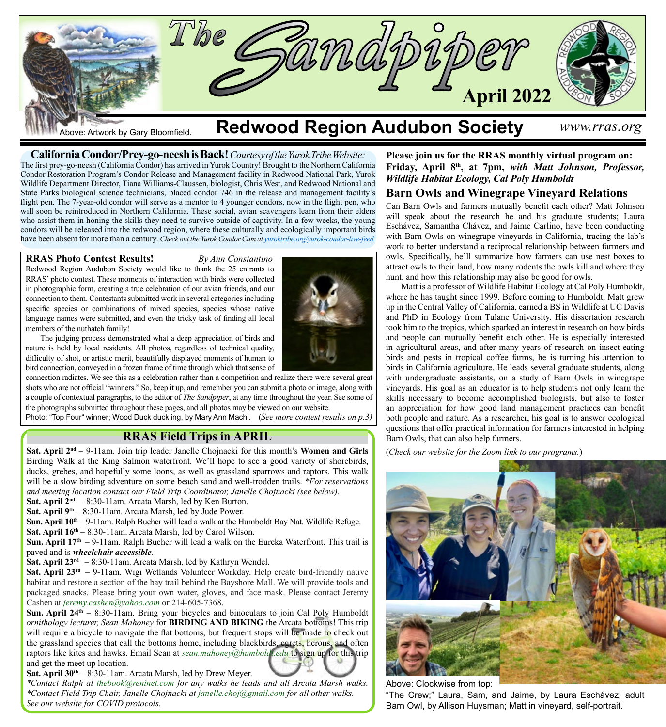

**California Condor/Prey-go-neesh is Back!** *Courtesy of the Yurok Tribe Website:* The first prey-go-neesh (California Condor) has arrived in Yurok Country! Brought to the Northern California Condor Restoration Program's Condor Release and Management facility in Redwood National Park, Yurok Wildlife Department Director, Tiana Williams-Claussen, biologist, Chris West, and [Redwood National and](https://www.facebook.com/RedwoodNPS?__cft__%5b0%5d=AZVDVd-JNA-JfnjtS_7eBHEzHNttYCGtyL86PxvdGrbzkkVP9pGPGlsLN0iN1pRqU95hpDiZkSXRuVwzGPOIu5j637BeoO8SRT8EbWPZtO-GXm7m3gonGJ-1gdcWZbIphf1kr9Cz6aBw2LUI6O-aMA7bttT7vl85sisnEJ_b-SlTew&__tn__=-%5dK-y-R) [State Parks](https://www.facebook.com/RedwoodNPS?__cft__%5b0%5d=AZVDVd-JNA-JfnjtS_7eBHEzHNttYCGtyL86PxvdGrbzkkVP9pGPGlsLN0iN1pRqU95hpDiZkSXRuVwzGPOIu5j637BeoO8SRT8EbWPZtO-GXm7m3gonGJ-1gdcWZbIphf1kr9Cz6aBw2LUI6O-aMA7bttT7vl85sisnEJ_b-SlTew&__tn__=-%5dK-y-R) biological science technicians, placed condor 746 in the release and management facility's flight pen. The 7-year-old condor will serve as a mentor to 4 younger condors, now in the flight pen, who will soon be reintroduced in Northern California. These social, avian scavengers learn from their elders who assist them in honing the skills they need to survive outside of captivity. In a few weeks, the young condors will be released into the redwood region, where these culturally and ecologically important birds have been absent for more than a century. *Check out the Yurok Condor Cam at [yuroktribe.org/yurok-condor-live-feed](https://www.yuroktribe.org/yurok-condor-live-feed?fbclid=IwAR1fqKtpP92GTM40i04530bTtMtf_14aYIxYr_6SrMqsVjYPz_EEBob7_Kc).*

### **RRAS Photo Contest Results!** *By Ann Constantino*

Redwood Region Audubon Society would like to thank the 25 entrants to RRAS' photo contest. These moments of interaction with birds were collected in photographic form, creating a true celebration of our avian friends, and our connection to them. Contestants submitted work in several categories including specific species or combinations of mixed species, species whose native language names were submitted, and even the tricky task of finding all local members of the nuthatch family!



The judging process demonstrated what a deep appreciation of birds and nature is held by local residents. All photos, regardless of technical quality, difficulty of shot, or artistic merit, beautifully displayed moments of human to bird connection, conveyed in a frozen frame of time through which that sense of

connection radiates. We see this as a celebration rather than a competition and realize there were several great shots who are not official "winners." So, keep it up, and remember you can submit a photo or image, along with a couple of contextual paragraphs, to the editor of *The Sandpiper*, at any time throughout the year. See some of the photographs submitted throughout these pages, and all photos may be viewed on our website.

Photo: "Top Four" winner; Wood Duck duckling, by Mary Ann Machi. (*See more contest results on p.3)*

## **RRAS Field Trips in APRIL**

**Sat. April 2nd** – 9-11am. Join trip leader Janelle Chojnacki for this month's **Women and Girls**  Birding Walk at the King Salmon waterfront. We'll hope to see a good variety of shorebirds, ducks, grebes, and hopefully some loons, as well as grassland sparrows and raptors. This walk will be a slow birding adventure on some beach sand and well-trodden trails. *\*For reservations and meeting location contact our Field Trip Coordinator, Janelle Chojnacki (see below).*

**Sat. April 2nd** – 8:30-11am. Arcata Marsh, led by Ken Burton.

**Sat. April 9th** – 8:30-11am. Arcata Marsh, led by Jude Power.

**Sun. April 10th** – 9-11am. Ralph Bucher will lead a walk at the Humboldt Bay Nat. Wildlife Refuge. **Sat. April 16th** – 8:30-11am. Arcata Marsh, led by Carol Wilson.

Sun. April 17<sup>th</sup> – 9-11am. Ralph Bucher will lead a walk on the Eureka Waterfront. This trail is paved and is *wheelchair accessible*.

**Sat. April 23rd** – 8:30-11am. Arcata Marsh, led by Kathryn Wendel.

**Sat. April 23<sup>rd</sup>** – 9-11am. Wigi Wetlands Volunteer Workday. Help create bird-friendly native habitat and restore a section of the bay trail behind the Bayshore Mall. We will provide tools and packaged snacks. Please bring your own water, gloves, and face mask. Please contact Jeremy Cashen at *[jeremy.cashen@yahoo.com](mailto:jeremy.cashen%40yahoo.com?subject=)* or 214-605-7368.

**Sun. April 24th** – 8:30-11am. Bring your bicycles and binoculars to join Cal Poly Humboldt *ornithology lecturer, Sean Mahoney* for **BIRDING AND BIKING** the Arcata bottoms! This trip will require a bicycle to navigate the flat bottoms, but frequent stops will be made to check out the grassland species that call the bottoms home, including blackbirds, egrets, herons, and often raptors like kites and hawks. Email Sean at *[sean.mahoney@humboldt.edu](mailto:sean.mahoney%40humboldt.edu?subject=)* to sign up for this trip and get the meet up location.

Sat. April 30<sup>th</sup> – 8:30-11am. Arcata Marsh, led by Drew Meyer.

*\*Contact Ralph at [thebook@reninet.com](mailto:thebook%40reninet.com?subject=) for any walks he leads and all Arcata Marsh walks. \*Contact Field Trip Chair, Janelle Chojnacki at [janelle.choj@gmail.com](mailto:janelle.choj%40gmail.com?subject=) for all other walks. See our website for COVID protocols.*

**Please join us for the RRAS monthly virtual program on: Friday, April 8th, at 7pm,** *with Matt Johnson, Professor, Wildlife Habitat Ecology, Cal Poly Humboldt*

## **Barn Owls and Winegrape Vineyard Relations**

Can Barn Owls and farmers mutually benefit each other? Matt Johnson will speak about the research he and his graduate students; Laura Eschávez, Samantha Chávez, and Jaime Carlino, have been conducting with Barn Owls on winegrape vineyards in California, tracing the lab's work to better understand a reciprocal relationship between farmers and owls. Specifically, he'll summarize how farmers can use nest boxes to attract owls to their land, how many rodents the owls kill and where they hunt, and how this relationship may also be good for owls.

Matt is a professor of Wildlife Habitat Ecology at Cal Poly Humboldt, where he has taught since 1999. Before coming to Humboldt, Matt grew up in the Central Valley of California, earned a BS in Wildlife at UC Davis and PhD in Ecology from Tulane University. His dissertation research took him to the tropics, which sparked an interest in research on how birds and people can mutually benefit each other. He is especially interested in agricultural areas, and after many years of research on insect-eating birds and pests in tropical coffee farms, he is turning his attention to birds in California agriculture. He leads several graduate students, along with undergraduate assistants, on a study of Barn Owls in winegrape vineyards. His goal as an educator is to help students not only learn the skills necessary to become accomplished biologists, but also to foster an appreciation for how good land management practices can benefit both people and nature. As a researcher, his goal is to answer ecological questions that offer practical information for farmers interested in helping Barn Owls, that can also help farmers.

(*Check our website for the Zoom link to our programs.*)



Above: Clockwise from top:

"The Crew;" Laura, Sam, and Jaime, by Laura Eschávez; adult Barn Owl, by Allison Huysman; Matt in vineyard, self-portrait.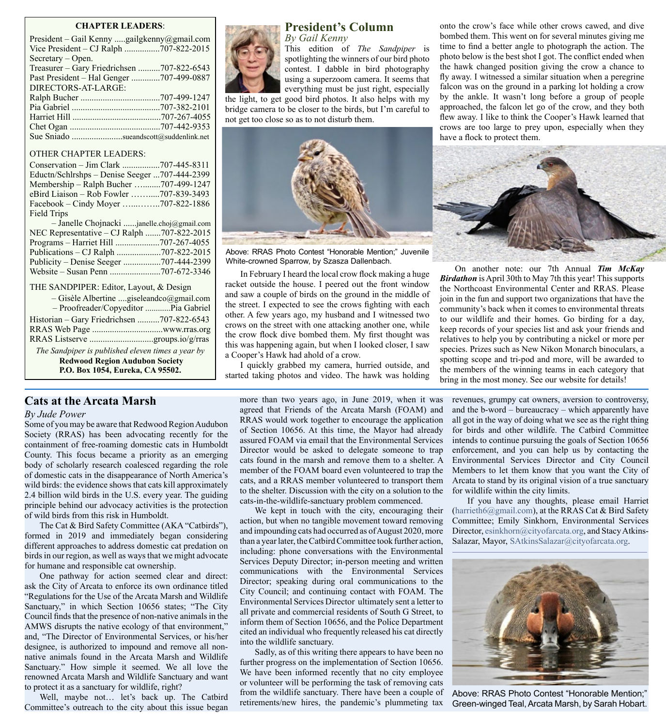#### **CHAPTER LEADERS**:

| President – Gail Kenny gailgkenny@gmail.com |
|---------------------------------------------|
| Vice President – CJ Ralph 707-822-2015      |
| Secretary – Open.                           |
| Treasurer – Gary Friedrichsen 707-822-6543  |
| Past President – Hal Genger 707-499-0887    |
| DIRECTORS-AT-LARGE:                         |
|                                             |
|                                             |
|                                             |
|                                             |
| Sue Sniado sueandscott@suddenlink.net       |

#### OTHER CHAPTER LEADERS:

THE SANDPIPER: Editor, Layout, & Design

| $-$ Gisèle Albertine giseleandco@gmail.com        |  |
|---------------------------------------------------|--|
| - Proofreader/Copyeditor Pia Gabriel              |  |
| Historian – Gary Friedrichsen 707-822-6543        |  |
|                                                   |  |
|                                                   |  |
| The Sandpiper is published eleven times a year by |  |
| <b>Redwood Region Audubon Society</b>             |  |

**P.O. Box 1054, Eureka, CA 95502.**

#### **Cats at the Arcata Marsh**

#### *By Jude Power*

Some of you may be aware that Redwood Region Audubon Society (RRAS) has been advocating recently for the containment of free-roaming domestic cats in Humboldt County. This focus became a priority as an emerging body of scholarly research coalesced regarding the role of domestic cats in the disappearance of North America's wild birds: the evidence shows that cats kill approximately 2.4 billion wild birds in the U.S. every year. The guiding principle behind our advocacy activities is the protection of wild birds from this risk in Humboldt.

The Cat & Bird Safety Committee (AKA "Catbirds"), formed in 2019 and immediately began considering different approaches to address domestic cat predation on birds in our region, as well as ways that we might advocate for humane and responsible cat ownership.

One pathway for action seemed clear and direct: ask the City of Arcata to enforce its own ordinance titled "Regulations for the Use of the Arcata Marsh and Wildlife Sanctuary," in which Section 10656 states; "The City Council finds that the presence of non-native animals in the AMWS disrupts the native ecology of that environment," and, "The Director of Environmental Services, or his/her designee, is authorized to impound and remove all nonnative animals found in the Arcata Marsh and Wildlife Sanctuary." How simple it seemed. We all love the renowned Arcata Marsh and Wildlife Sanctuary and want to protect it as a sanctuary for wildlife, right?

Well, maybe not… let's back up. The Catbird Committee's outreach to the city about this issue began



# **President's Column**

*By Gail Kenny* This edition of *The Sandpiper* is spotlighting the winners of our bird photo contest. I dabble in bird photography using a superzoom camera. It seems that everything must be just right, especially

the light, to get good bird photos. It also helps with my bridge camera to be closer to the birds, but I'm careful to not get too close so as to not disturb them.



Above: RRAS Photo Contest "Honorable Mention;" Juvenile White-crowned Sparrow, by Szasza Dallenbach.

In February I heard the local crow flock making a huge racket outside the house. I peered out the front window and saw a couple of birds on the ground in the middle of the street. I expected to see the crows fighting with each other. A few years ago, my husband and I witnessed two crows on the street with one attacking another one, while the crow flock dive bombed them. My first thought was this was happening again, but when I looked closer, I saw a Cooper's Hawk had ahold of a crow.

I quickly grabbed my camera, hurried outside, and started taking photos and video. The hawk was holding onto the crow's face while other crows cawed, and dive bombed them. This went on for several minutes giving me time to find a better angle to photograph the action. The photo below is the best shot I got. The conflict ended when the hawk changed position giving the crow a chance to fly away. I witnessed a similar situation when a peregrine falcon was on the ground in a parking lot holding a crow by the ankle. It wasn't long before a group of people approached, the falcon let go of the crow, and they both flew away. I like to think the Cooper's Hawk learned that crows are too large to prey upon, especially when they have a flock to protect them.



On another note: our 7th Annual *Tim McKay Birdathon* is April 30th to May 7th this year! This supports the Northcoast Environmental Center and RRAS. Please join in the fun and support two organizations that have the community's back when it comes to environmental threats to our wildlife and their homes. Go birding for a day, keep records of your species list and ask your friends and relatives to help you by contributing a nickel or more per species. Prizes such as New Nikon Monarch binoculars, a spotting scope and tri-pod and more, will be awarded to the members of the winning teams in each category that bring in the most money. See our website for details!

more than two years ago, in June 2019, when it was agreed that Friends of the Arcata Marsh (FOAM) and RRAS would work together to encourage the application of Section 10656. At this time, the Mayor had already assured FOAM via email that the Environmental Services Director would be asked to delegate someone to trap cats found in the marsh and remove them to a shelter. A member of the FOAM board even volunteered to trap the cats, and a RRAS member volunteered to transport them to the shelter. Discussion with the city on a solution to the cats-in-the-wildlife-sanctuary problem commenced.

We kept in touch with the city, encouraging their action, but when no tangible movement toward removing and impounding cats had occurred as of August 2020, more than a year later, the Catbird Committee took further action, including: phone conversations with the Environmental Services Deputy Director; in-person meeting and written communications with the Environmental Services Director; speaking during oral communications to the City Council; and continuing contact with FOAM. The Environmental Services Director ultimately sent a letter to all private and commercial residents of South G Street, to inform them of Section 10656, and the Police Department cited an individual who frequently released his cat directly into the wildlife sanctuary.

Sadly, as of this writing there appears to have been no further progress on the implementation of Section 10656. We have been informed recently that no city employee or volunteer will be performing the task of removing cats from the wildlife sanctuary. There have been a couple of retirements/new hires, the pandemic's plummeting tax

revenues, grumpy cat owners, aversion to controversy, and the b-word – bureaucracy – which apparently have all got in the way of doing what we see as the right thing for birds and other wildlife. The Catbird Committee intends to continue pursuing the goals of Section 10656 enforcement, and you can help us by contacting the Environmental Services Director and City Council Members to let them know that you want the City of Arcata to stand by its original vision of a true sanctuary for wildlife within the city limits.

If you have any thoughts, please email Harriet (harrieth6@gmail.com), at the RRAS Cat & Bird Safety Committee; Emily Sinkhorn, Environmental Services Director, [esinkhorn@cityofarcata.org,](mailto:esinkhorn%40cityofarcata.org?subject=) and Stacy Atkins-Salazar, Mayor, [SAtkinsSalazar@cityofarcata.org.](mailto:SAtkinsSalazar%40CityofArcata.org?subject=)



Above: RRAS Photo Contest "Honorable Mention;" Green-winged Teal, Arcata Marsh, by Sarah Hobart.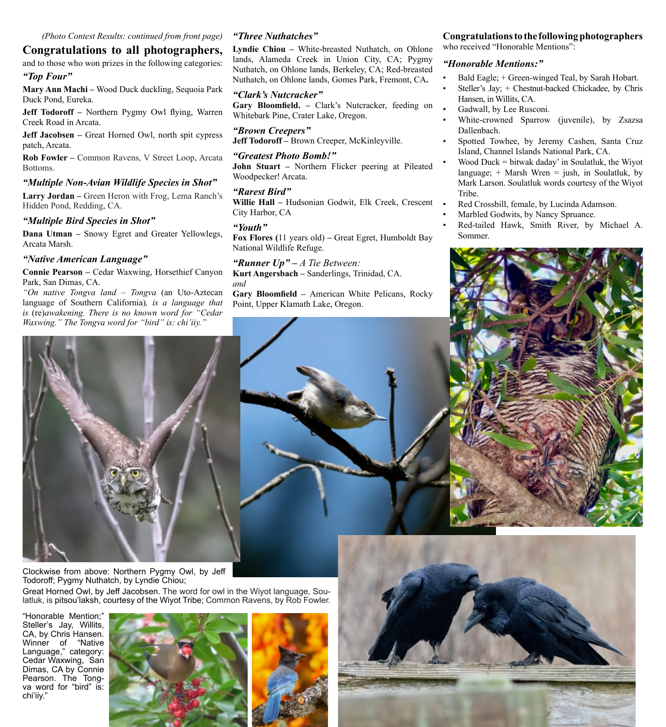## **Congratulations to all photographers,**

and to those who won prizes in the following categories:

#### *"Top Four"*

**Mary Ann Machi –** Wood Duck duckling, Sequoia Park Duck Pond, Eureka.

**Jeff Todoroff –** Northern Pygmy Owl flying, Warren Creek Road in Arcata.

**Jeff Jacobsen – Great Horned Owl, north spit cypress** patch, Arcata.

**Rob Fowler –** Common Ravens, V Street Loop, Arcata Bottoms.

#### *"Multiple Non-Avian Wildlife Species in Shot"*

**Larry Jordan –** Green Heron with Frog, Lema Ranch's Hidden Pond, Redding, CA.

#### *"Multiple Bird Species in Shot"*

**Dana Utman –** Snowy Egret and Greater Yellowlegs, Arcata Marsh.

#### *"Native American Language"*

**Connie Pearson –** Cedar Waxwing, Horsethief Canyon Park, San Dimas, CA.

*"On native Tongva land – Tongva* (an Uto-Aztecan language of Southern California)*, is a language that is* (re)*awakening. There is no known word for "Cedar Waxwing." The Tongva word for "bird" is: chi'iiy."*

### *"Three Nuthatches"*

**Lyndie Chiou –** White-breasted Nuthatch, on Ohlone lands, Alameda Creek in Union City, CA; Pygmy Nuthatch, on Ohlone lands, Berkeley, CA; Red-breasted Nuthatch, on Ohlone lands, Gomes Park, Fremont, CA**.**

#### *"Clark's Nutcracker"*

Gary Bloomfield. - Clark's Nutcracker, feeding on Whitebark Pine, Crater Lake, Oregon.

*"Brown Creepers"* **Jeff Todoroff –** Brown Creeper, McKinleyville.

*"Greatest Photo Bomb!"* **John Stuart –** Northern Flicker peering at Pileated Woodpecker! Arcata.

#### *"Rarest Bird"*

**Willie Hall –** Hudsonian Godwit, Elk Creek, Crescent City Harbor, CA

#### *"Youth"*

**Fox Flores (**11 years old) **–** Great Egret, Humboldt Bay National Wildlife Refuge.

*"Runner Up" – A Tie Between:* **Kurt Angersbach –** Sanderlings, Trinidad, CA. *and*

**Gary Bloomfield –** American White Pelicans, Rocky Point, Upper Klamath Lake, Oregon.

### **Congratulations to the following photographers**

who received "Honorable Mentions":

#### *"Honorable Mentions:"*

- Bald Eagle; + Green-winged Teal, by Sarah Hobart.
- Steller's Jay; + Chestnut-backed Chickadee, by Chris Hansen, in Willits, CA.
- Gadwall, by Lee Rusconi.
- White-crowned Sparrow (juvenile), by Zsazsa Dallenbach.
- Spotted Towhee, by Jeremy Cashen, Santa Cruz Island, Channel Islands National Park, CA.
- Wood Duck  $=$  bitwak daday' in Soulatluk, the Wiyot language;  $+$  Marsh Wren  $=$  jush, in Soulatluk, by Mark Larson. Soulatluk words courtesy of the Wiyot Tribe.
- Red Crossbill, female, by Lucinda Adamson.
- Marbled Godwits, by Nancy Spruance.
- Red-tailed Hawk, Smith River, by Michael A. Sommer.





Clockwise from above: Northern Pygmy Owl, by Jeff Todoroff; Pygmy Nuthatch, by Lyndie Chiou;

Great Horned Owl, by Jeff Jacobsen. The word for owl in the Wiyot language, Soulatluk, is pitsou'laksh, courtesy of the Wiyot Tribe; Common Ravens, by Rob Fowler.

"Honorable Mention;" Steller's Jay, Willits, CA, by Chris Hansen. Winner of "Native Language," category: Cedar Waxwing, San Dimas, CA by Connie Pearson. The Tongva word for "bird" is: chi'iiy."